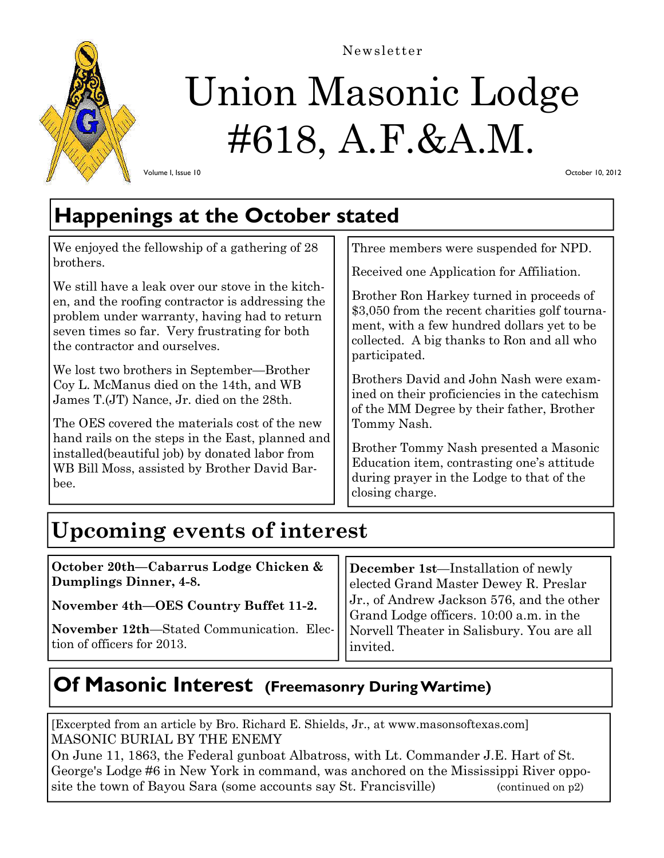

# Union Masonic Lodge Newsletter

#618, A.F.&A.M.

October 10, 2012

#### Volume I, Issue 10

## **Happenings at the October stated**

We enjoyed the fellowship of a gathering of 28 brothers.

We still have a leak over our stove in the kitchen, and the roofing contractor is addressing the problem under warranty, having had to return seven times so far. Very frustrating for both the contractor and ourselves.

We lost two brothers in September—Brother Coy L. McManus died on the 14th, and WB James T.(JT) Nance, Jr. died on the 28th.

The OES covered the materials cost of the new hand rails on the steps in the East, planned and installed(beautiful job) by donated labor from WB Bill Moss, assisted by Brother David Barbee.

Three members were suspended for NPD.

Received one Application for Affiliation.

Brother Ron Harkey turned in proceeds of \$3,050 from the recent charities golf tournament, with a few hundred dollars yet to be collected. A big thanks to Ron and all who participated.

Brothers David and John Nash were examined on their proficiencies in the catechism of the MM Degree by their father, Brother Tommy Nash.

Brother Tommy Nash presented a Masonic Education item, contrasting one's attitude during prayer in the Lodge to that of the closing charge.

# **Upcoming events of interest**

**October 20th—Cabarrus Lodge Chicken & Dumplings Dinner, 4-8.** 

**November 4th—OES Country Buffet 11-2.** 

**November 12th**—Stated Communication. Election of officers for 2013.

**December 1st**—Installation of newly elected Grand Master Dewey R. Preslar Jr., of Andrew Jackson 576, and the other Grand Lodge officers. 10:00 a.m. in the Norvell Theater in Salisbury. You are all invited.

### **Of Masonic Interest (Freemasonry During Wartime)**

[Excerpted from an article by Bro. Richard E. Shields, Jr., at www.masonsoftexas.com] MASONIC BURIAL BY THE ENEMY

On June 11, 1863, the Federal gunboat Albatross, with Lt. Commander J.E. Hart of St. George's Lodge #6 in New York in command, was anchored on the Mississippi River opposite the town of Bayou Sara (some accounts say St. Francisville) (continued on p2)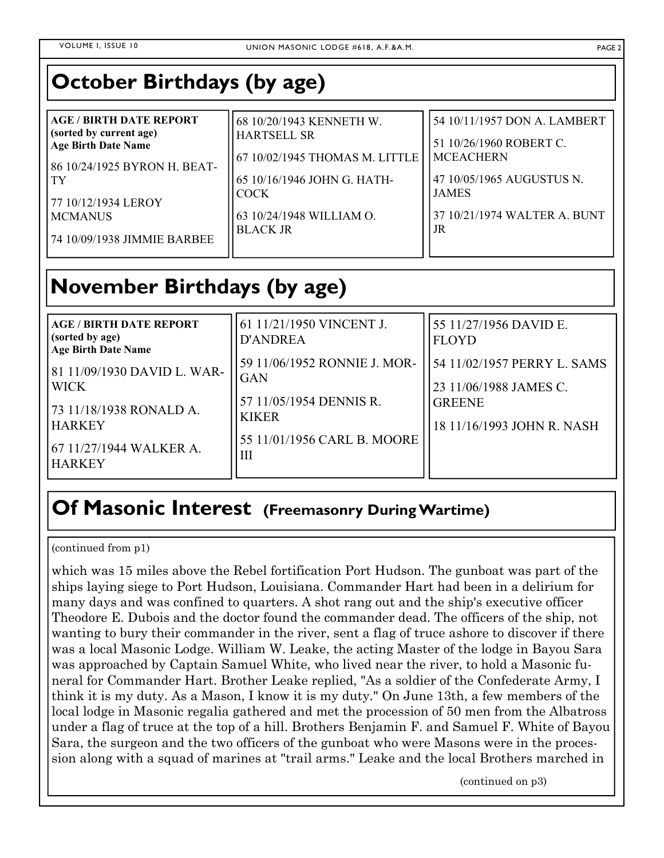### **October Birthdays (by age)**

| (sorted by current age)<br><b>HARTSELL SR</b><br><b>Age Birth Date Name</b><br>67 10/02/1945 THOMAS M. LITTLE<br>86 10/24/1925 BYRON H. BEAT-<br>65 10/16/1946 JOHN G. HATH-<br>l TY<br><b>COCK</b><br>77 10/12/1934 LEROY<br>63 10/24/1948 WILLIAM O.<br><b>MCMANUS</b><br><b>BLACK JR</b><br>[74 10/09/1938 JIMMIE BARBEE | 51 10/26/1960 ROBERT C.<br><b>MCEACHERN</b><br>47 10/05/1965 AUGUSTUS N.<br><b>JAMES</b><br>37 10/21/1974 WALTER A. BUNT<br>JR |
|-----------------------------------------------------------------------------------------------------------------------------------------------------------------------------------------------------------------------------------------------------------------------------------------------------------------------------|--------------------------------------------------------------------------------------------------------------------------------|
|-----------------------------------------------------------------------------------------------------------------------------------------------------------------------------------------------------------------------------------------------------------------------------------------------------------------------------|--------------------------------------------------------------------------------------------------------------------------------|

### **November Birthdays (by age)**

| <b>AGE / BIRTH DATE REPORT</b>                | 61 11/21/1950 VINCENT J.     | 55 11/27/1956 DAVID E.      |
|-----------------------------------------------|------------------------------|-----------------------------|
| (sorted by age)<br><b>Age Birth Date Name</b> | <b>D'ANDREA</b>              | <b>FLOYD</b>                |
| 81 11/09/1930 DAVID L. WAR-                   | 59 11/06/1952 RONNIE J. MOR- | 54 11/02/1957 PERRY L. SAMS |
| <b>WICK</b>                                   | <b>GAN</b>                   | 23 11/06/1988 JAMES C.      |
| 73 11/18/1938 RONALD A.                       | 57 11/05/1954 DENNIS R.      | <b>GREENE</b>               |
| <b>HARKEY</b>                                 | <b>KIKER</b>                 | 18 11/16/1993 JOHN R. NASH  |
| 67 11/27/1944 WALKER A.                       | 55 11/01/1956 CARL B. MOORE  |                             |
| <b>HARKEY</b>                                 | $\mathbf{I}$                 |                             |

### **Of Masonic Interest (Freemasonry During Wartime)**

(continued from p1)

which was 15 miles above the Rebel fortification Port Hudson. The gunboat was part of the ships laying siege to Port Hudson, Louisiana. Commander Hart had been in a delirium for many days and was confined to quarters. A shot rang out and the ship's executive officer Theodore E. Dubois and the doctor found the commander dead. The officers of the ship, not wanting to bury their commander in the river, sent a flag of truce ashore to discover if there was a local Masonic Lodge. William W. Leake, the acting Master of the lodge in Bayou Sara was approached by Captain Samuel White, who lived near the river, to hold a Masonic funeral for Commander Hart. Brother Leake replied, "As a soldier of the Confederate Army, I think it is my duty. As a Mason, I know it is my duty." On June 13th, a few members of the local lodge in Masonic regalia gathered and met the procession of 50 men from the Albatross under a flag of truce at the top of a hill. Brothers Benjamin F. and Samuel F. White of Bayou Sara, the surgeon and the two officers of the gunboat who were Masons were in the procession along with a squad of marines at "trail arms." Leake and the local Brothers marched in

(continued on p3)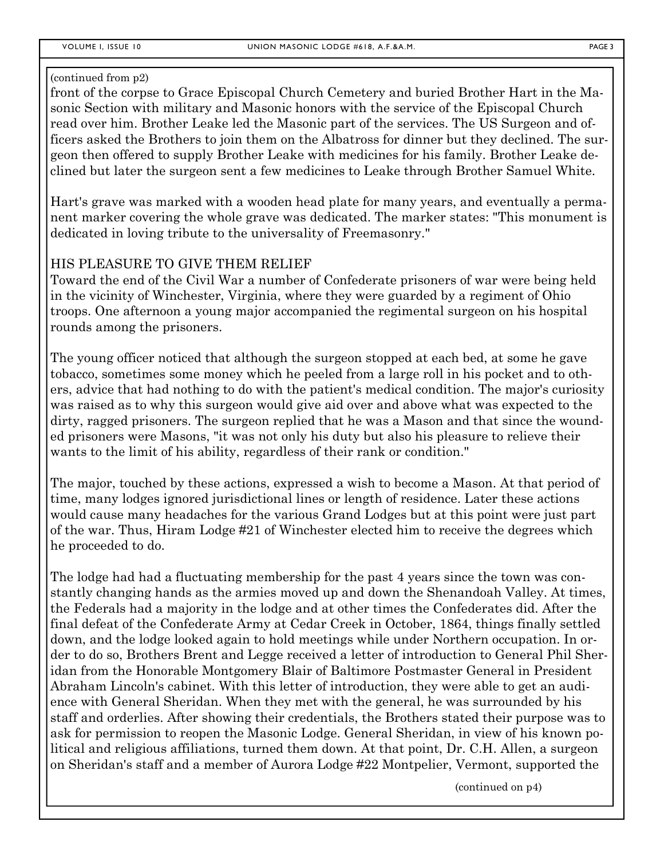#### (continued from p2)

front of the corpse to Grace Episcopal Church Cemetery and buried Brother Hart in the Masonic Section with military and Masonic honors with the service of the Episcopal Church read over him. Brother Leake led the Masonic part of the services. The US Surgeon and officers asked the Brothers to join them on the Albatross for dinner but they declined. The surgeon then offered to supply Brother Leake with medicines for his family. Brother Leake declined but later the surgeon sent a few medicines to Leake through Brother Samuel White.

Hart's grave was marked with a wooden head plate for many years, and eventually a permanent marker covering the whole grave was dedicated. The marker states: "This monument is dedicated in loving tribute to the universality of Freemasonry."

#### HIS PLEASURE TO GIVE THEM RELIEF

Toward the end of the Civil War a number of Confederate prisoners of war were being held in the vicinity of Winchester, Virginia, where they were guarded by a regiment of Ohio troops. One afternoon a young major accompanied the regimental surgeon on his hospital rounds among the prisoners.

The young officer noticed that although the surgeon stopped at each bed, at some he gave tobacco, sometimes some money which he peeled from a large roll in his pocket and to others, advice that had nothing to do with the patient's medical condition. The major's curiosity was raised as to why this surgeon would give aid over and above what was expected to the dirty, ragged prisoners. The surgeon replied that he was a Mason and that since the wounded prisoners were Masons, "it was not only his duty but also his pleasure to relieve their wants to the limit of his ability, regardless of their rank or condition."

The major, touched by these actions, expressed a wish to become a Mason. At that period of time, many lodges ignored jurisdictional lines or length of residence. Later these actions would cause many headaches for the various Grand Lodges but at this point were just part of the war. Thus, Hiram Lodge #21 of Winchester elected him to receive the degrees which he proceeded to do.

The lodge had had a fluctuating membership for the past 4 years since the town was constantly changing hands as the armies moved up and down the Shenandoah Valley. At times, the Federals had a majority in the lodge and at other times the Confederates did. After the final defeat of the Confederate Army at Cedar Creek in October, 1864, things finally settled down, and the lodge looked again to hold meetings while under Northern occupation. In order to do so, Brothers Brent and Legge received a letter of introduction to General Phil Sheridan from the Honorable Montgomery Blair of Baltimore Postmaster General in President Abraham Lincoln's cabinet. With this letter of introduction, they were able to get an audience with General Sheridan. When they met with the general, he was surrounded by his staff and orderlies. After showing their credentials, the Brothers stated their purpose was to ask for permission to reopen the Masonic Lodge. General Sheridan, in view of his known political and religious affiliations, turned them down. At that point, Dr. C.H. Allen, a surgeon on Sheridan's staff and a member of Aurora Lodge #22 Montpelier, Vermont, supported the

(continued on p4)